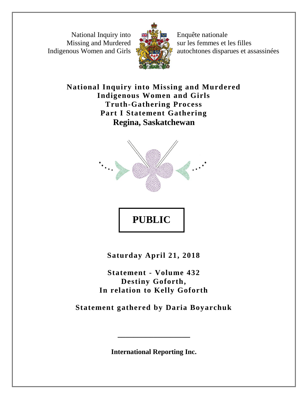National Inquiry into Missing and Murdered Indigenous Women and Girls



Enquête nationale sur les femmes et les filles autochtones disparues et assassinées

**National Inquiry into Missing and Murdered Indigenous Women and Girls Truth-Gathering Process Part I Statement Gathering Regina, Saskatchewan**



**Saturday April 21, 2018**

**PUBLIC** 

**Statement - Volume 432 Destiny Goforth, In relation to Kelly Goforth**

**Statement gathered by Daria Boyarchuk** 

**International Reporting Inc.**

**\_\_\_\_\_\_\_\_\_\_\_\_\_\_\_\_\_\_**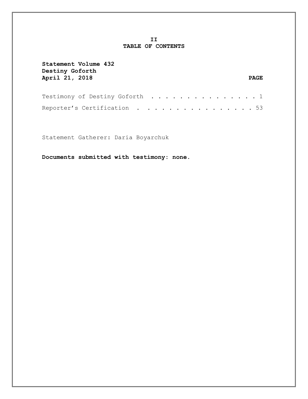## **II TABLE OF CONTENTS**

| Statement Volume 432<br>Destiny Goforth<br>April 21, 2018 | <b>PAGE</b>                                                                                 |
|-----------------------------------------------------------|---------------------------------------------------------------------------------------------|
|                                                           | Testimony of Destiny Goforth $\dots\, \dots\, \dots\, \dots\, \dots\, \dots\, \dots\, \, 1$ |
|                                                           | Reporter's Certification $\ldots \ldots \ldots \ldots \ldots \ldots 53$                     |

Statement Gatherer: Daria Boyarchuk

**Documents submitted with testimony: none.**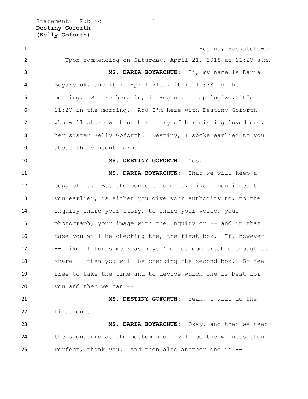Statement - Public 1 **Destiny Goforth (Kelly Goforth)**

**1** Regina, Saskatchewan --- Upon commencing on Saturday, April 21, 2018 at 11:27 a.m. **MS. DARIA BOYARCHUK:** Hi, my name is Daria Boyarchuk, and it is April 21st, it is 11:38 in the morning. We are here in, in Regina. I apologize, it's 11:27 in the morning. And I'm here with Destiny Goforth who will share with us her story of her missing loved one, her sister Kelly Goforth. Destiny, I spoke earlier to you about the consent form. **MS. DESTINY GOFORTH:** Yes. **MS. DARIA BOYARCHUK:** That we will keep a copy of it. But the consent form is, like I mentioned to you earlier, is either you give your authority to, to the Inquiry share your story, to share your voice, your photograph, your image with the Inquiry or -- and in that case you will be checking the, the first box. If, however -- like if for some reason you're not comfortable enough to share -- then you will be checking the second box. So feel free to take the time and to decide which one is best for you and then we can -- **MS. DESTINY GOFORTH:** Yeah, I will do the first one. **MS. DARIA BOYARCHUK:** Okay, and then we need the signature at the bottom and I will be the witness then. Perfect, thank you. And then also another one is --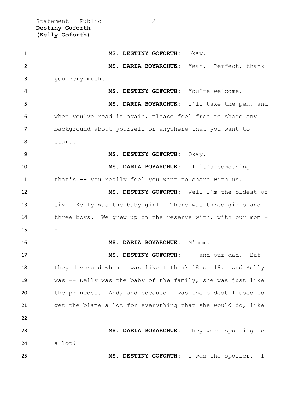Statement - Public 2 **Destiny Goforth (Kelly Goforth)**

 **MS. DESTINY GOFORTH:** Okay. **MS. DARIA BOYARCHUK:** Yeah. Perfect, thank you very much. **MS. DESTINY GOFORTH:** You're welcome. **MS. DARIA BOYARCHUK:** I'll take the pen, and when you've read it again, please feel free to share any background about yourself or anywhere that you want to start. **MS. DESTINY GOFORTH:** Okay. **MS. DARIA BOYARCHUK:** If it's something that's -- you really feel you want to share with us. **MS. DESTINY GOFORTH:** Well I'm the oldest of six. Kelly was the baby girl. There was three girls and three boys. We grew up on the reserve with, with our mom - **MS. DARIA BOYARCHUK:** M'hmm. **MS. DESTINY GOFORTH:** -- and our dad. But they divorced when I was like I think 18 or 19. And Kelly was -- Kelly was the baby of the family, she was just like the princess. And, and because I was the oldest I used to get the blame a lot for everything that she would do, like  $22 - - -$  **MS. DARIA BOYARCHUK:** They were spoiling her a lot? **MS. DESTINY GOFORTH:** I was the spoiler. I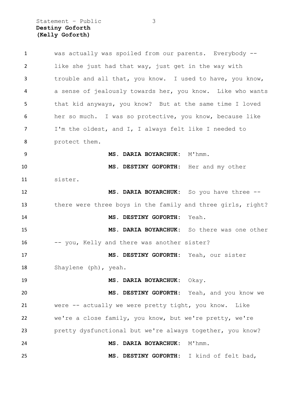Statement – Public 3 **Destiny Goforth (Kelly Goforth)**

| $\mathbf{1}$ | was actually was spoiled from our parents. Everybody --     |
|--------------|-------------------------------------------------------------|
| 2            | like she just had that way, just get in the way with        |
| 3            | trouble and all that, you know. I used to have, you know,   |
| 4            | a sense of jealously towards her, you know. Like who wants  |
| 5            | that kid anyways, you know? But at the same time I loved    |
| 6            | her so much. I was so protective, you know, because like    |
| 7            | I'm the oldest, and I, I always felt like I needed to       |
| 8            | protect them.                                               |
| 9            | MS. DARIA BOYARCHUK: M'hmm.                                 |
| 10           | MS. DESTINY GOFORTH: Her and my other                       |
| 11           | sister.                                                     |
| 12           | MS. DARIA BOYARCHUK: So you have three --                   |
| 13           | there were three boys in the family and three girls, right? |
| 14           | MS. DESTINY GOFORTH: Yeah.                                  |
| 15           | MS. DARIA BOYARCHUK: So there was one other                 |
| 16           | -- you, Kelly and there was another sister?                 |
| 17           | MS. DESTINY GOFORTH: Yeah, our sister                       |
| 18           | Shaylene (ph), yeah.                                        |
| 19           | MS. DARIA BOYARCHUK:<br>Okay.                               |
| 20           | MS. DESTINY GOFORTH: Yeah, and you know we                  |
| 21           | were -- actually we were pretty tight, you know.<br>Like    |
| 22           | we're a close family, you know, but we're pretty, we're     |
| 23           | pretty dysfunctional but we're always together, you know?   |
| 24           | MS. DARIA BOYARCHUK:<br>M'hmm.                              |
| 25           | MS. DESTINY GOFORTH: I kind of felt bad,                    |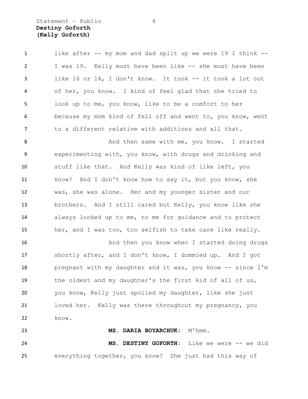# Statement - Public 4 **Destiny Goforth (Kelly Goforth)**

 like after -- my mom and dad split up we were 19 I think -- I was 19. Kelly must have been like -- she must have been like 16 or 14, I don't know. It took -- it took a lot out of her, you know. I kind of feel glad that she tried to look up to me, you know, like to be a comfort to her because my mom kind of fell off and went to, you know, went to a different relative with additions and all that.

8 And then same with me, you know. I started experimenting with, you know, with drugs and drinking and stuff like that. And Kelly was kind of like left, you know? And I don't know how to say it, but you know, she was, she was alone. Her and my younger sister and our brothers. And I still cared but Kelly, you know like she always looked up to me, to me for guidance and to protect her, and I was too, too selfish to take care like really.

16 And then you know when I started doing drugs shortly after, and I don't know, I dummied up. And I got pregnant with my daughter and it was, you know -- since I'm the oldest and my daughter's the first kid of all of us, you know, Kelly just spoiled my daughter, like she just loved her. Kelly was there throughout my pregnancy, you know.

 **MS. DARIA BOYARCHUK:** M'hmm. **MS. DESTINY GOFORTH:** Like we were -- we did everything together, you know? She just had this way of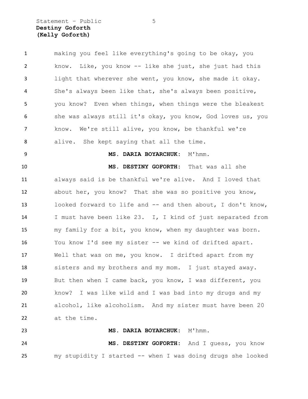Statement - Public 5 **Destiny Goforth (Kelly Goforth)**

| $\mathbf{1}$   | making you feel like everything's going to be okay, you     |
|----------------|-------------------------------------------------------------|
| $\overline{2}$ | Like, you know -- like she just, she just had this<br>know. |
| 3              | light that wherever she went, you know, she made it okay.   |
| 4              | She's always been like that, she's always been positive,    |
| 5              | you know? Even when things, when things were the bleakest   |
| 6              | she was always still it's okay, you know, God loves us, you |
| $\overline{7}$ | know. We're still alive, you know, be thankful we're        |
| 8              | alive. She kept saying that all the time.                   |
| 9              | MS. DARIA BOYARCHUK: M'hmm.                                 |
| 10             | MS. DESTINY GOFORTH: That was all she                       |
| 11             | always said is be thankful we're alive. And I loved that    |
| 12             | about her, you know? That she was so positive you know,     |
| 13             | looked forward to life and -- and then about, I don't know, |
| 14             | I must have been like 23. I, I kind of just separated from  |
| 15             | my family for a bit, you know, when my daughter was born.   |
| 16             | You know I'd see my sister -- we kind of drifted apart.     |
| 17             | Well that was on me, you know. I drifted apart from my      |
| 18             | sisters and my brothers and my mom. I just stayed away.     |
| 19             | But then when I came back, you know, I was different, you   |
| 20             | know?<br>I was like wild and I was bad into my drugs and my |
| 21             | alcohol, like alcoholism. And my sister must have been 20   |
| 22             | at the time.                                                |
| 23             | MS. DARIA BOYARCHUK: M'hmm.                                 |
| 24             | MS. DESTINY GOFORTH: And I guess, you know                  |
| 25             | my stupidity I started -- when I was doing drugs she looked |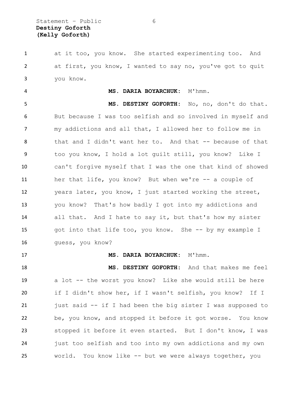at it too, you know. She started experimenting too. And at first, you know, I wanted to say no, you've got to quit you know.

### **MS. DARIA BOYARCHUK:** M'hmm.

 **MS. DESTINY GOFORTH:** No, no, don't do that. But because I was too selfish and so involved in myself and my addictions and all that, I allowed her to follow me in 8 that and I didn't want her to. And that -- because of that too you know, I hold a lot guilt still, you know? Like I can't forgive myself that I was the one that kind of showed her that life, you know? But when we're -- a couple of years later, you know, I just started working the street, you know? That's how badly I got into my addictions and all that. And I hate to say it, but that's how my sister got into that life too, you know. She -- by my example I guess, you know?

### 17 MS. DARIA BOYARCHUK: M'hmm.

 **MS. DESTINY GOFORTH:** And that makes me feel a lot -- the worst you know? Like she would still be here if I didn't show her, if I wasn't selfish, you know? If I 21 just said -- if I had been the big sister I was supposed to be, you know, and stopped it before it got worse. You know stopped it before it even started. But I don't know, I was just too selfish and too into my own addictions and my own world. You know like -- but we were always together, you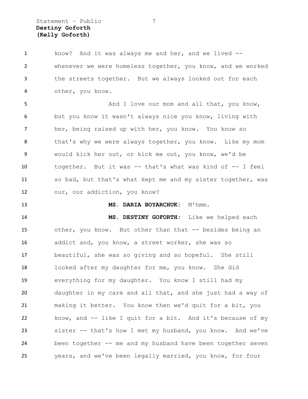Statement – Public 7 **Destiny Goforth (Kelly Goforth)**

 know? And it was always me and her, and we lived -- whenever we were homeless together, you know, and we worked the streets together. But we always looked out for each other, you know.

5 And I love our mom and all that, you know, but you know it wasn't always nice you know, living with her, being raised up with her, you know. You know so 8 that's why we were always together, you know. Like my mom would kick her out, or kick me out, you know, we'd be together. But it was -- that's what was kind of -- I feel so bad, but that's what kept me and my sister together, was our, our addiction, you know?

### **MS. DARIA BOYARCHUK:** M'hmm.

 **MS. DESTINY GOFORTH:** Like we helped each other, you know. But other than that -- besides being an addict and, you know, a street worker, she was so beautiful, she was so giving and so hopeful. She still looked after my daughter for me, you know. She did everything for my daughter. You know I still had my daughter in my care and all that, and she just had a way of making it better. You know then we'd quit for a bit, you know, and -- like I quit for a bit. And it's because of my sister -- that's how I met my husband, you know. And we've been together -- me and my husband have been together seven years, and we've been legally married, you know, for four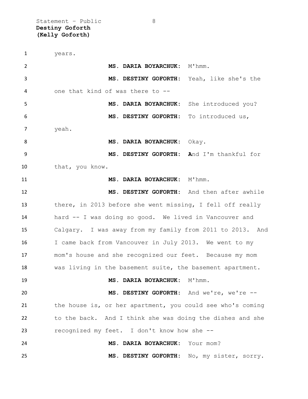Statement - Public 8 **Destiny Goforth (Kelly Goforth)**

 years. **MS. DARIA BOYARCHUK:** M'hmm. **MS. DESTINY GOFORTH:** Yeah, like she's the one that kind of was there to -- **MS. DARIA BOYARCHUK:** She introduced you? **MS. DESTINY GOFORTH:** To introduced us, yeah. **MS. DARIA BOYARCHUK:** Okay. **MS. DESTINY GOFORTH: A**nd I'm thankful for that, you know. **MS. DARIA BOYARCHUK:** M'hmm. **MS. DESTINY GOFORTH:** And then after awhile there, in 2013 before she went missing, I fell off really hard -- I was doing so good. We lived in Vancouver and Calgary. I was away from my family from 2011 to 2013. And 16 I came back from Vancouver in July 2013. We went to my mom's house and she recognized our feet. Because my mom was living in the basement suite, the basement apartment. 19 MS. DARIA BOYARCHUK: M'hmm. **MS. DESTINY GOFORTH:** And we're, we're -- 21 the house is, or her apartment, you could see who's coming to the back. And I think she was doing the dishes and she recognized my feet. I don't know how she -- **MS. DARIA BOYARCHUK:** Your mom? **MS. DESTINY GOFORTH:** No, my sister, sorry.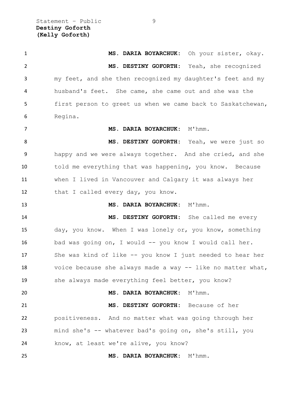Statement - Public 9 **Destiny Goforth (Kelly Goforth)**

 **MS. DARIA BOYARCHUK:** Oh your sister, okay. **MS. DESTINY GOFORTH:** Yeah, she recognized my feet, and she then recognized my daughter's feet and my husband's feet. She came, she came out and she was the first person to greet us when we came back to Saskatchewan, Regina. **MS. DARIA BOYARCHUK:** M'hmm. **MS. DESTINY GOFORTH:** Yeah, we were just so happy and we were always together. And she cried, and she told me everything that was happening, you know. Because when I lived in Vancouver and Calgary it was always her 12 that I called every day, you know. **MS. DARIA BOYARCHUK:** M'hmm. **MS. DESTINY GOFORTH:** She called me every day, you know. When I was lonely or, you know, something 16 bad was going on, I would -- you know I would call her. She was kind of like -- you know I just needed to hear her voice because she always made a way -- like no matter what, 19 she always made everything feel better, you know? **MS. DARIA BOYARCHUK:** M'hmm. **MS. DESTINY GOFORTH:** Because of her positiveness. And no matter what was going through her mind she's -- whatever bad's going on, she's still, you know, at least we're alive, you know? **MS. DARIA BOYARCHUK:** M'hmm.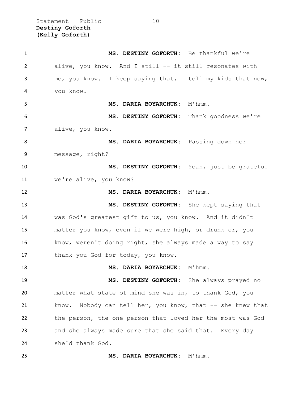Statement – Public 10 **Destiny Goforth (Kelly Goforth)**

| $\mathbf{1}$   | MS. DESTINY GOFORTH: Be thankful we're                     |
|----------------|------------------------------------------------------------|
| $\overline{2}$ | alive, you know. And I still -- it still resonates with    |
| 3              | me, you know. I keep saying that, I tell my kids that now, |
| 4              | you know.                                                  |
| 5              | MS. DARIA BOYARCHUK: M'hmm.                                |
| 6              | MS. DESTINY GOFORTH: Thank goodness we're                  |
| 7              | alive, you know.                                           |
| 8              | MS. DARIA BOYARCHUK: Passing down her                      |
| 9              | message, right?                                            |
| 10             | MS. DESTINY GOFORTH: Yeah, just be grateful                |
| 11             | we're alive, you know?                                     |
| 12             | MS. DARIA BOYARCHUK: M'hmm.                                |
| 13             | MS. DESTINY GOFORTH: She kept saying that                  |
| 14             | was God's greatest gift to us, you know. And it didn't     |
| 15             | matter you know, even if we were high, or drunk or, you    |
| 16             | know, weren't doing right, she always made a way to say    |
| 17             | thank you God for today, you know.                         |
| 18             | MS. DARIA BOYARCHUK: M'hmm.                                |
| 19             | MS. DESTINY GOFORTH: She always prayed no                  |
| 20             | matter what state of mind she was in, to thank God, you    |
| 21             | know. Nobody can tell her, you know, that -- she knew that |
| 22             | the person, the one person that loved her the most was God |
| 23             | and she always made sure that she said that. Every day     |
| 24             | she'd thank God.                                           |
| 25             | MS. DARIA BOYARCHUK: M'hmm.                                |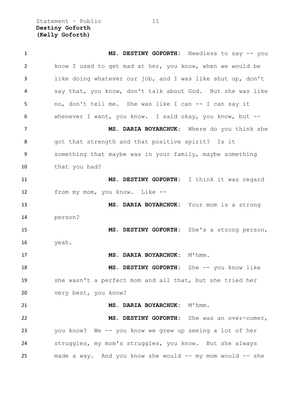Statement – Public 11 **Destiny Goforth (Kelly Goforth)**

| $\mathbf{1}$ | MS. DESTINY GOFORTH: Needless to say -- you                |
|--------------|------------------------------------------------------------|
| 2            | know I used to get mad at her, you know, when we would be  |
| 3            | like doing whatever our job, and I was like shut up, don't |
| 4            | say that, you know, don't talk about God. But she was like |
| 5            | no, don't tell me. She was like I can -- I can say it      |
| 6            | whenever I want, you know. I said okay, you know, but --   |
| 7            | MS. DARIA BOYARCHUK: Where do you think she                |
| 8            | got that strength and that positive spirit? Is it          |
| 9            | something that maybe was in your family, maybe something   |
| 10           | that you had?                                              |
| 11           | MS. DESTINY GOFORTH: I think it was regard                 |
| 12           | from my mom, you know. Like --                             |
| 13           | MS. DARIA BOYARCHUK: Your mom is a strong                  |
| 14           | person?                                                    |
| 15           | MS. DESTINY GOFORTH: She's a strong person,                |
| 16           | yeah.                                                      |
| 17           | MS. DARIA BOYARCHUK: M'hmm.                                |
| 18           | MS. DESTINY GOFORTH: She -- you know like                  |
| 19           | she wasn't a perfect mom and all that, but she tried her   |
| 20           | very best, you know?                                       |
| 21           | MS. DARIA BOYARCHUK: M'hmm.                                |
| 22           | MS. DESTINY GOFORTH: She was an over-comer,                |
| 23           | you know? We -- you know we grew up seeing a lot of her    |
| 24           | struggles, my mom's struggles, you know. But she always    |
| 25           | made a way. And you know she would -- my mom would -- she  |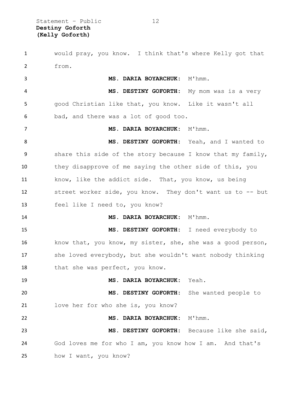Statement – Public 12 **Destiny Goforth (Kelly Goforth)**

 would pray, you know. I think that's where Kelly got that from. **MS. DARIA BOYARCHUK:** M'hmm. **MS. DESTINY GOFORTH:** My mom was is a very good Christian like that, you know. Like it wasn't all bad, and there was a lot of good too. **MS. DARIA BOYARCHUK:** M'hmm. **MS. DESTINY GOFORTH:** Yeah, and I wanted to share this side of the story because I know that my family, they disapprove of me saying the other side of this, you 11 know, like the addict side. That, you know, us being street worker side, you know. They don't want us to -- but feel like I need to, you know? **MS. DARIA BOYARCHUK:** M'hmm. **MS. DESTINY GOFORTH:** I need everybody to know that, you know, my sister, she, she was a good person, she loved everybody, but she wouldn't want nobody thinking 18 that she was perfect, you know. **MS. DARIA BOYARCHUK:** Yeah. **MS. DESTINY GOFORTH:** She wanted people to love her for who she is, you know? **MS. DARIA BOYARCHUK:** M'hmm. **MS. DESTINY GOFORTH:** Because like she said, God loves me for who I am, you know how I am. And that's how I want, you know?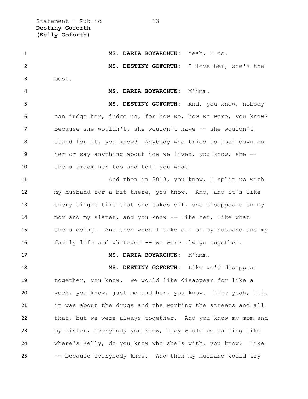Statement – Public 13 **Destiny Goforth (Kelly Goforth)**

 **MS. DARIA BOYARCHUK:** Yeah, I do. **MS. DESTINY GOFORTH:** I love her, she's the best. **MS. DARIA BOYARCHUK:** M'hmm.

 **MS. DESTINY GOFORTH:** And, you know, nobody can judge her, judge us, for how we, how we were, you know? Because she wouldn't, she wouldn't have -- she wouldn't stand for it, you know? Anybody who tried to look down on her or say anything about how we lived, you know, she -- she's smack her too and tell you what.

 And then in 2013, you know, I split up with my husband for a bit there, you know. And, and it's like every single time that she takes off, she disappears on my mom and my sister, and you know -- like her, like what she's doing. And then when I take off on my husband and my 16 family life and whatever -- we were always together.

17 MS. DARIA BOYARCHUK: M'hmm.

 **MS. DESTINY GOFORTH:** Like we'd disappear together, you know. We would like disappear for like a week, you know, just me and her, you know. Like yeah, like it was about the drugs and the working the streets and all that, but we were always together. And you know my mom and my sister, everybody you know, they would be calling like where's Kelly, do you know who she's with, you know? Like -- because everybody knew. And then my husband would try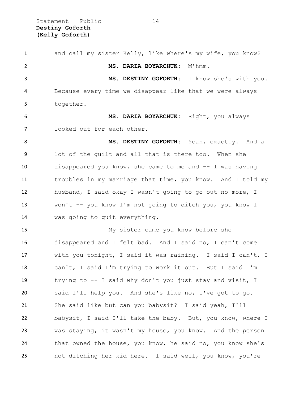Statement - Public 14 **Destiny Goforth (Kelly Goforth)**

 and call my sister Kelly, like where's my wife, you know? **MS. DARIA BOYARCHUK:** M'hmm. **MS. DESTINY GOFORTH:** I know she's with you. Because every time we disappear like that we were always together. **MS. DARIA BOYARCHUK:** Right, you always looked out for each other. **MS. DESTINY GOFORTH:** Yeah, exactly. And a lot of the guilt and all that is there too. When she disappeared you know, she came to me and -- I was having troubles in my marriage that time, you know. And I told my husband, I said okay I wasn't going to go out no more, I won't -- you know I'm not going to ditch you, you know I was going to quit everything. My sister came you know before she disappeared and I felt bad. And I said no, I can't come with you tonight, I said it was raining. I said I can't, I can't, I said I'm trying to work it out. But I said I'm trying to -- I said why don't you just stay and visit, I said I'll help you. And she's like no, I've got to go. She said like but can you babysit? I said yeah, I'll babysit, I said I'll take the baby. But, you know, where I was staying, it wasn't my house, you know. And the person 24 that owned the house, you know, he said no, you know she's not ditching her kid here. I said well, you know, you're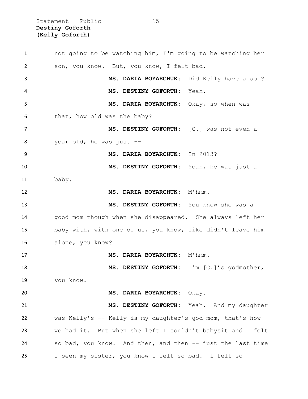Statement - Public 15 **Destiny Goforth (Kelly Goforth)**

 not going to be watching him, I'm going to be watching her son, you know. But, you know, I felt bad. **MS. DARIA BOYARCHUK:** Did Kelly have a son? **MS. DESTINY GOFORTH:** Yeah. **MS. DARIA BOYARCHUK:** Okay, so when was that, how old was the baby? **MS. DESTINY GOFORTH:** [C.] was not even a year old, he was just -- **MS. DARIA BOYARCHUK:** In 2013? **MS. DESTINY GOFORTH:** Yeah, he was just a baby. **MS. DARIA BOYARCHUK:** M'hmm. **MS. DESTINY GOFORTH:** You know she was a good mom though when she disappeared. She always left her baby with, with one of us, you know, like didn't leave him alone, you know? 17 MS. DARIA BOYARCHUK: M'hmm. **MS. DESTINY GOFORTH:** I'm [C.]'s godmother, you know. **MS. DARIA BOYARCHUK:** Okay. **MS. DESTINY GOFORTH:** Yeah. And my daughter was Kelly's -- Kelly is my daughter's god-mom, that's how we had it. But when she left I couldn't babysit and I felt so bad, you know. And then, and then -- just the last time I seen my sister, you know I felt so bad. I felt so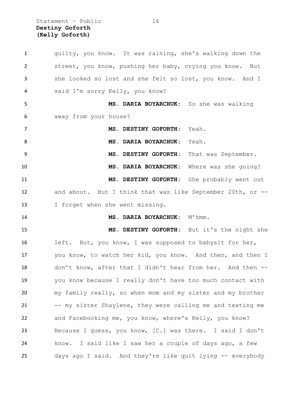Statement - Public 16 **Destiny Goforth (Kelly Goforth)**

 guilty, you know. It was raining, she's walking down the street, you know, pushing her baby, crying you know. But she looked so lost and she felt so lost, you know. And I said I'm sorry Kelly, you know? **MS. DARIA BOYARCHUK:** So she was walking away from your house? **MS. DESTINY GOFORTH:** Yeah. **MS. DARIA BOYARCHUK:** Yeah. **MS. DESTINY GOFORTH:** That was September. **MS. DARIA BOYARCHUK:** Where was she going? **MS. DESTINY GOFORTH:** She probably went out and about. But I think that was like September 20th, or -- 13 I forget when she went missing. **MS. DARIA BOYARCHUK:** M'hmm. **MS. DESTINY GOFORTH:** But it's the night she left. But, you know, I was supposed to babysit for her, you know, to watch her kid, you know. And then, and then I don't know, after that I didn't hear from her. And then -- you know because I really don't have too much contact with my family really, so when mom and my sister and my brother 21 -- my sister Shaylene, they were calling me and texting me and Facebooking me, you know, where's Kelly, you know? Because I guess, you know, [C.] was there. I said I don't know. I said like I saw her a couple of days ago, a few days ago I said. And they're like quit lying -- everybody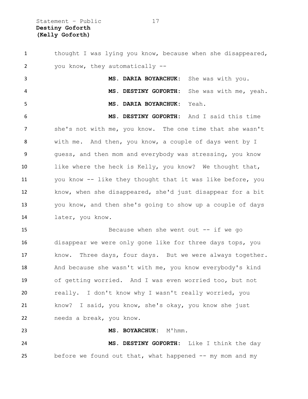Statement – Public 17 **Destiny Goforth (Kelly Goforth)**

1 thought I was lying you know, because when she disappeared, you know, they automatically -- **MS. DARIA BOYARCHUK:** She was with you. **MS. DESTINY GOFORTH:** She was with me, yeah. **MS. DARIA BOYARCHUK:** Yeah. **MS. DESTINY GOFORTH:** And I said this time she's not with me, you know. The one time that she wasn't with me. And then, you know, a couple of days went by I guess, and then mom and everybody was stressing, you know like where the heck is Kelly, you know? We thought that, you know -- like they thought that it was like before, you know, when she disappeared, she'd just disappear for a bit you know, and then she's going to show up a couple of days later, you know. 15 Because when she went out -- if we go disappear we were only gone like for three days tops, you know. Three days, four days. But we were always together. And because she wasn't with me, you know everybody's kind of getting worried. And I was even worried too, but not really. I don't know why I wasn't really worried, you know? I said, you know, she's okay, you know she just needs a break, you know. 23 MS. BOYARCHUK: M'hmm. **MS. DESTINY GOFORTH:** Like I think the day before we found out that, what happened -- my mom and my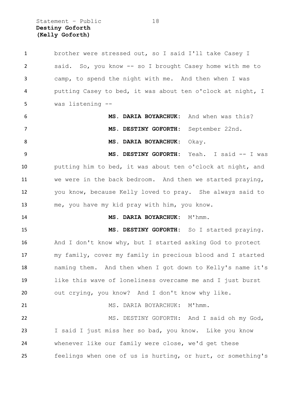Statement – Public 18 **Destiny Goforth (Kelly Goforth)**

 brother were stressed out, so I said I'll take Casey I said. So, you know -- so I brought Casey home with me to camp, to spend the night with me. And then when I was putting Casey to bed, it was about ten o'clock at night, I was listening -- **MS. DARIA BOYARCHUK:** And when was this? **MS. DESTINY GOFORTH:** September 22nd. **MS. DARIA BOYARCHUK:** Okay. **MS. DESTINY GOFORTH:** Yeah. I said -- I was putting him to bed, it was about ten o'clock at night, and we were in the back bedroom. And then we started praying, you know, because Kelly loved to pray. She always said to me, you have my kid pray with him, you know. 14 MS. DARIA BOYARCHUK: M'hmm. **MS. DESTINY GOFORTH:** So I started praying. And I don't know why, but I started asking God to protect my family, cover my family in precious blood and I started naming them. And then when I got down to Kelly's name it's like this wave of loneliness overcame me and I just burst out crying, you know? And I don't know why like. 21 MS. DARIA BOYARCHUK: M'hmm. MS. DESTINY GOFORTH: And I said oh my God, I said I just miss her so bad, you know. Like you know whenever like our family were close, we'd get these feelings when one of us is hurting, or hurt, or something's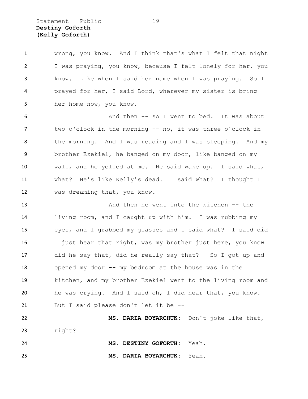Statement – Public 19 **Destiny Goforth (Kelly Goforth)**

 wrong, you know. And I think that's what I felt that night I was praying, you know, because I felt lonely for her, you know. Like when I said her name when I was praying. So I prayed for her, I said Lord, wherever my sister is bring her home now, you know.

 And then -- so I went to bed. It was about 7 two o'clock in the morning -- no, it was three o'clock in the morning. And I was reading and I was sleeping. And my brother Ezekiel, he banged on my door, like banged on my wall, and he yelled at me. He said wake up. I said what, what? He's like Kelly's dead. I said what? I thought I was dreaming that, you know.

 And then he went into the kitchen -- the living room, and I caught up with him. I was rubbing my eyes, and I grabbed my glasses and I said what? I said did 16 I just hear that right, was my brother just here, you know did he say that, did he really say that? So I got up and opened my door -- my bedroom at the house was in the kitchen, and my brother Ezekiel went to the living room and he was crying. And I said oh, I did hear that, you know. But I said please don't let it be --

 **MS. DARIA BOYARCHUK:** Don't joke like that, right? **MS. DESTINY GOFORTH:** Yeah.

**MS. DARIA BOYARCHUK:** Yeah.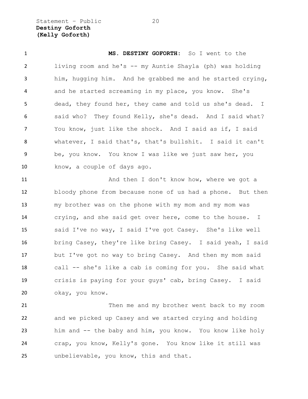Statement - Public 20 **Destiny Goforth (Kelly Goforth)**

 **MS. DESTINY GOFORTH:** So I went to the living room and he's -- my Auntie Shayla (ph) was holding him, hugging him. And he grabbed me and he started crying, and he started screaming in my place, you know. She's dead, they found her, they came and told us she's dead. I said who? They found Kelly, she's dead. And I said what? You know, just like the shock. And I said as if, I said whatever, I said that's, that's bullshit. I said it can't be, you know. You know I was like we just saw her, you know, a couple of days ago.

11 And then I don't know how, where we got a bloody phone from because none of us had a phone. But then my brother was on the phone with my mom and my mom was crying, and she said get over here, come to the house. I said I've no way, I said I've got Casey. She's like well bring Casey, they're like bring Casey. I said yeah, I said but I've got no way to bring Casey. And then my mom said call -- she's like a cab is coming for you. She said what crisis is paying for your guys' cab, bring Casey. I said okay, you know.

 Then me and my brother went back to my room and we picked up Casey and we started crying and holding him and -- the baby and him, you know. You know like holy crap, you know, Kelly's gone. You know like it still was unbelievable, you know, this and that.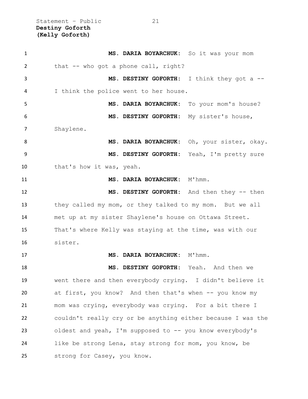Statement – Public 21 **Destiny Goforth (Kelly Goforth)**

| $\mathbf{1}$ | MS. DARIA BOYARCHUK: So it was your mom                     |
|--------------|-------------------------------------------------------------|
| 2            | that -- who got a phone call, right?                        |
| 3            | MS. DESTINY GOFORTH: I think they got a --                  |
| 4            | I think the police went to her house.                       |
| 5            | MS. DARIA BOYARCHUK: To your mom's house?                   |
| 6            | MS. DESTINY GOFORTH: My sister's house,                     |
| 7            | Shaylene.                                                   |
| 8            | MS. DARIA BOYARCHUK: Oh, your sister, okay.                 |
| 9            | MS. DESTINY GOFORTH: Yeah, I'm pretty sure                  |
| 10           | that's how it was, yeah.                                    |
| 11           | MS. DARIA BOYARCHUK: M'hmm.                                 |
| 12           | MS. DESTINY GOFORTH: And then they -- then                  |
| 13           | they called my mom, or they talked to my mom. But we all    |
| 14           | met up at my sister Shaylene's house on Ottawa Street.      |
| 15           | That's where Kelly was staying at the time, was with our    |
| 16           | sister.                                                     |
| 17           | MS. DARIA BOYARCHUK: M'hmm.                                 |
| 18           | MS. DESTINY GOFORTH: Yeah. And then we                      |
| 19           | went there and then everybody crying. I didn't believe it   |
| 20           | at first, you know? And then that's when -- you know my     |
| 21           | mom was crying, everybody was crying. For a bit there I     |
| 22           | couldn't really cry or be anything either because I was the |
| 23           | oldest and yeah, I'm supposed to -- you know everybody's    |
| 24           | like be strong Lena, stay strong for mom, you know, be      |
| 25           | strong for Casey, you know.                                 |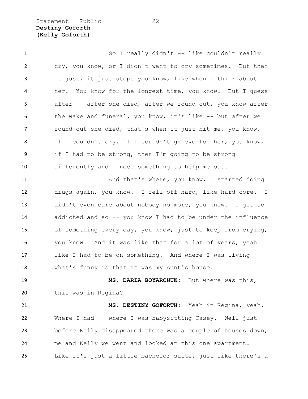Statement - Public 22 **Destiny Goforth (Kelly Goforth)**

 So I really didn't -- like couldn't really cry, you know, or I didn't want to cry sometimes. But then it just, it just stops you know, like when I think about her. You know for the longest time, you know. But I guess after -- after she died, after we found out, you know after the wake and funeral, you know, it's like -- but after we found out she died, that's when it just hit me, you know. If I couldn't cry, if I couldn't grieve for her, you know, if I had to be strong, then I'm going to be strong differently and I need something to help me out. 11 And that's where, you know, I started doing drugs again, you know. I fell off hard, like hard core. I didn't even care about nobody no more, you know. I got so addicted and so -- you know I had to be under the influence of something every day, you know, just to keep from crying, you know. And it was like that for a lot of years, yeah like I had to be on something. And where I was living -- what's funny is that it was my Aunt's house. **MS. DARIA BOYARCHUK:** But where was this, this was in Regina? **MS. DESTINY GOFORTH:** Yeah in Regina, yeah. Where I had -- where I was babysitting Casey. Well just before Kelly disappeared there was a couple of houses down,

Like it's just a little bachelor suite, just like there's a

me and Kelly we went and looked at this one apartment.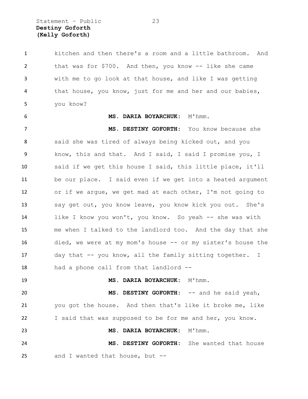Statement – Public 23 **Destiny Goforth (Kelly Goforth)**

 kitchen and then there's a room and a little bathroom. And that was for \$700. And then, you know -- like she came with me to go look at that house, and like I was getting that house, you know, just for me and her and our babies, you know?

### **MS. DARIA BOYARCHUK:** M'hmm.

 **MS. DESTINY GOFORTH:** You know because she said she was tired of always being kicked out, and you know, this and that. And I said, I said I promise you, I said if we get this house I said, this little place, it'll be our place. I said even if we get into a heated argument or if we argue, we get mad at each other, I'm not going to say get out, you know leave, you know kick you out. She's like I know you won't, you know. So yeah -- she was with me when I talked to the landlord too. And the day that she died, we were at my mom's house -- or my sister's house the day that -- you know, all the family sitting together. I had a phone call from that landlord --

19 MS. DARIA BOYARCHUK: M'hmm.

 **MS. DESTINY GOFORTH:** -- and he said yeah, you got the house. And then that's like it broke me, like I said that was supposed to be for me and her, you know.

**MS. DARIA BOYARCHUK:** M'hmm.

 **MS. DESTINY GOFORTH:** She wanted that house and I wanted that house, but --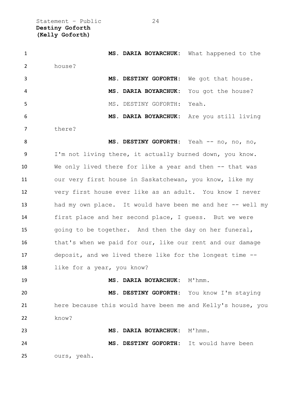Statement – Public 24 **Destiny Goforth (Kelly Goforth)**

| $\mathbf{1}$   | MS. DARIA BOYARCHUK: What happened to the                   |
|----------------|-------------------------------------------------------------|
| $\overline{2}$ | house?                                                      |
| 3              | We got that house.<br>MS. DESTINY GOFORTH:                  |
| 4              | MS. DARIA BOYARCHUK:<br>You got the house?                  |
| 5              | MS. DESTINY GOFORTH:<br>Yeah.                               |
| 6              | MS. DARIA BOYARCHUK: Are you still living                   |
| $\overline{7}$ | there?                                                      |
| 8              | MS. DESTINY GOFORTH: Yeah -- no, no, no,                    |
| 9              | I'm not living there, it actually burned down, you know.    |
| 10             | We only lived there for like a year and then -- that was    |
| 11             | our very first house in Saskatchewan, you know, like my     |
| 12             | very first house ever like as an adult. You know I never    |
| 13             | had my own place. It would have been me and her -- well my  |
| 14             | first place and her second place, I guess. But we were      |
| 15             | going to be together. And then the day on her funeral,      |
| 16             | that's when we paid for our, like our rent and our damage   |
| 17             | deposit, and we lived there like for the longest time --    |
| 18             | like for a year, you know?                                  |
| 19             | MS. DARIA BOYARCHUK: M'hmm.                                 |
| 20             | MS. DESTINY GOFORTH: You know I'm staying                   |
| 21             | here because this would have been me and Kelly's house, you |
| 22             | know?                                                       |
| 23             | MS. DARIA BOYARCHUK: M'hmm.                                 |
| 24             | MS. DESTINY GOFORTH: It would have been                     |
| 25             | ours, yeah.                                                 |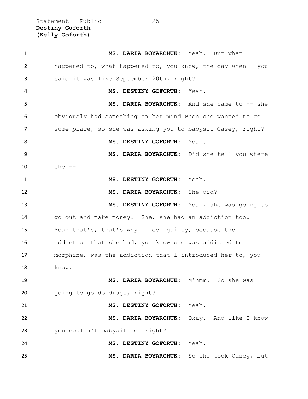Statement – Public 25 **Destiny Goforth (Kelly Goforth)**

| $\mathbf{1}$ | MS. DARIA BOYARCHUK: Yeah. But what                         |
|--------------|-------------------------------------------------------------|
| 2            | happened to, what happened to, you know, the day when --you |
| 3            | said it was like September 20th, right?                     |
| 4            | MS. DESTINY GOFORTH:<br>Yeah.                               |
| 5            | MS. DARIA BOYARCHUK: And she came to -- she                 |
| 6            | obviously had something on her mind when she wanted to go   |
| 7            | some place, so she was asking you to babysit Casey, right?  |
| 8            | MS. DESTINY GOFORTH:<br>Yeah.                               |
| 9            | MS. DARIA BOYARCHUK: Did she tell you where                 |
| 10           | she $--$                                                    |
| 11           | Yeah.<br>MS. DESTINY GOFORTH:                               |
| 12           | She did?<br><b>MS. DARIA BOYARCHUK:</b>                     |
| 13           | MS. DESTINY GOFORTH: Yeah, she was going to                 |
| 14           | go out and make money. She, she had an addiction too.       |
| 15           | Yeah that's, that's why I feel quilty, because the          |
| 16           | addiction that she had, you know she was addicted to        |
| 17           | morphine, was the addiction that I introduced her to, you   |
| 18           | know.                                                       |
| 19           | MS. DARIA BOYARCHUK: M'hmm. So she was                      |
| 20           | going to go do drugs, right?                                |
| 21           | MS. DESTINY GOFORTH:<br>Yeah.                               |
| 22           | MS. DARIA BOYARCHUK:<br>Okay. And like I know               |
| 23           | you couldn't babysit her right?                             |
| 24           | MS. DESTINY GOFORTH:<br>Yeah.                               |
| 25           | MS. DARIA BOYARCHUK:<br>So she took Casey, but              |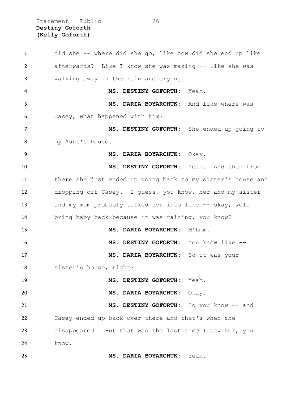Statement – Public 26 **Destiny Goforth (Kelly Goforth)**

 did she -- where did she go, like how did she end up like afterwards? Like I know she was making -- like she was walking away in the rain and crying. **MS. DESTINY GOFORTH:** Yeah. **MS. DARIA BOYARCHUK:** And like where was Casey, what happened with him? **MS. DESTINY GOFORTH:** She ended up going to my Aunt's house. **MS. DARIA BOYARCHUK:** Okay. **MS. DESTINY GOFORTH:** Yeah. And then from there she just ended up going back to my sister's house and dropping off Casey. I guess, you know, her and my sister 13 and my mom probably talked her into like -- okay, well bring baby back because it was raining, you know? **MS. DARIA BOYARCHUK:** M'hmm. **MS. DESTINY GOFORTH:** You know like -- **MS. DARIA BOYARCHUK:** So it was your sister's house, right? **MS. DESTINY GOFORTH:** Yeah. **MS. DARIA BOYARCHUK:** Okay. **MS. DESTINY GOFORTH:** So you know -- and Casey ended up back over there and that's when she disappeared. But that was the last time I saw her, you know. **MS. DARIA BOYARCHUK:** Yeah.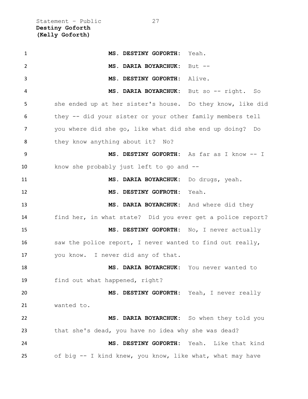Statement – Public 27 **Destiny Goforth (Kelly Goforth)**

| $\mathbf{1}$ | MS. DESTINY GOFORTH: Yeah.                                 |
|--------------|------------------------------------------------------------|
| 2            | MS. DARIA BOYARCHUK:<br>$But --$                           |
| 3            | MS. DESTINY GOFORTH: Alive.                                |
| 4            | MS. DARIA BOYARCHUK: But so -- right. So                   |
| 5            | she ended up at her sister's house. Do they know, like did |
| 6            | they -- did your sister or your other family members tell  |
| 7            | you where did she go, like what did she end up doing? Do   |
| 8            | they know anything about it? No?                           |
| 9            | MS. DESTINY GOFORTH: As far as I know -- I                 |
| 10           | know she probably just left to go and --                   |
| 11           | MS. DARIA BOYARCHUK: Do drugs, yeah.                       |
| 12           | MS. DESTINY GOFROTH: Yeah.                                 |
| 13           | MS. DARIA BOYARCHUK: And where did they                    |
| 14           | find her, in what state? Did you ever get a police report? |
| 15           | MS. DESTINY GOFORTH: No, I never actually                  |
| 16           | saw the police report, I never wanted to find out really,  |
| 17           | you know. I never did any of that.                         |
| 18           | MS. DARIA BOYARCHUK: You never wanted to                   |
| 19           | find out what happened, right?                             |
| 20           | MS. DESTINY GOFORTH: Yeah, I never really                  |
| 21           | wanted to.                                                 |
| 22           | MS. DARIA BOYARCHUK: So when they told you                 |
| 23           | that she's dead, you have no idea why she was dead?        |
| 24           | MS. DESTINY GOFORTH: Yeah. Like that kind                  |
| 25           | of big -- I kind knew, you know, like what, what may have  |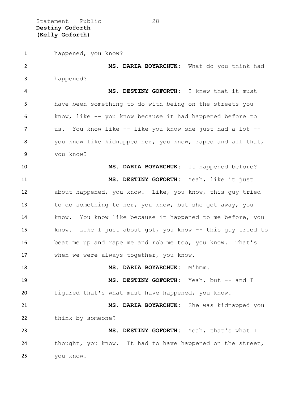Statement - Public 28 **Destiny Goforth (Kelly Goforth)**

 happened, you know? **MS. DARIA BOYARCHUK:** What do you think had happened? **MS. DESTINY GOFORTH:** I knew that it must have been something to do with being on the streets you know, like -- you know because it had happened before to us. You know like -- like you know she just had a lot -- you know like kidnapped her, you know, raped and all that, you know? **MS. DARIA BOYARCHUK:** It happened before? **MS. DESTINY GOFORTH:** Yeah, like it just about happened, you know. Like, you know, this guy tried to do something to her, you know, but she got away, you know. You know like because it happened to me before, you know. Like I just about got, you know -- this guy tried to beat me up and rape me and rob me too, you know. That's when we were always together, you know. **MS. DARIA BOYARCHUK:** M'hmm. **MS. DESTINY GOFORTH:** Yeah, but -- and I figured that's what must have happened, you know. **MS. DARIA BOYARCHUK:** She was kidnapped you 22 think by someone? **MS. DESTINY GOFORTH:** Yeah, that's what I thought, you know. It had to have happened on the street, you know.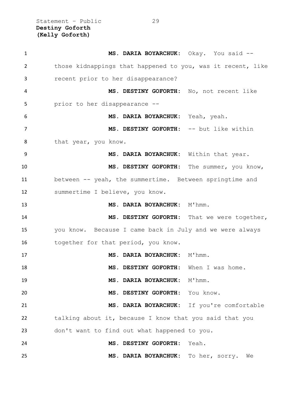Statement – Public 29 **Destiny Goforth (Kelly Goforth)**

| $\mathbf{1}$   | MS. DARIA BOYARCHUK: Okay. You said --                      |                                             |
|----------------|-------------------------------------------------------------|---------------------------------------------|
| $\overline{2}$ | those kidnappings that happened to you, was it recent, like |                                             |
| 3              | recent prior to her disappearance?                          |                                             |
| 4              | MS. DESTINY GOFORTH: No, not recent like                    |                                             |
| 5              | prior to her disappearance --                               |                                             |
| 6              | MS. DARIA BOYARCHUK: Yeah, yeah.                            |                                             |
| 7              | MS. DESTINY GOFORTH: -- but like within                     |                                             |
| 8              | that year, you know.                                        |                                             |
| 9              | MS. DARIA BOYARCHUK: Within that year.                      |                                             |
| 10             | MS. DESTINY GOFORTH: The summer, you know,                  |                                             |
| 11             | between -- yeah, the summertime. Between springtime and     |                                             |
| 12             | summertime I believe, you know.                             |                                             |
| 13             | MS. DARIA BOYARCHUK: M'hmm.                                 |                                             |
| 14             |                                                             | MS. DESTINY GOFORTH: That we were together, |
| 15             | you know. Because I came back in July and we were always    |                                             |
| 16             | together for that period, you know.                         |                                             |
| 17             | MS. DARIA BOYARCHUK: M'hmm.                                 |                                             |
| 18             | MS. DESTINY GOFORTH: When I was home.                       |                                             |
| 19             | MS. DARIA BOYARCHUK: M'hmm.                                 |                                             |
| 20             | MS. DESTINY GOFORTH: You know.                              |                                             |
| 21             | MS. DARIA BOYARCHUK: If you're comfortable                  |                                             |
| 22             | talking about it, because I know that you said that you     |                                             |
| 23             | don't want to find out what happened to you.                |                                             |
| 24             | MS. DESTINY GOFORTH: Yeah.                                  |                                             |
| 25             | MS. DARIA BOYARCHUK: To her, sorry. We                      |                                             |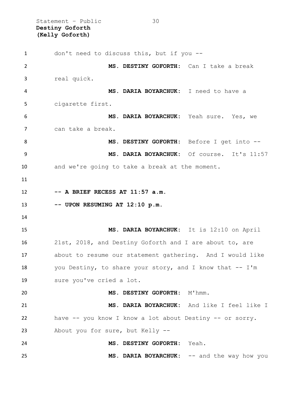Statement – Public 30 **Destiny Goforth (Kelly Goforth)**

 don't need to discuss this, but if you -- **MS. DESTINY GOFORTH:** Can I take a break real quick. **MS. DARIA BOYARCHUK:** I need to have a cigarette first. **MS. DARIA BOYARCHUK:** Yeah sure. Yes, we can take a break. **MS. DESTINY GOFORTH:** Before I get into -- **MS. DARIA BOYARCHUK:** Of course. It's 11:57 and we're going to take a break at the moment. **-- A BRIEF RECESS AT 11:57 a.m. -- UPON RESUMING AT 12:10 p.m. MS. DARIA BOYARCHUK:** It is 12:10 on April 21st, 2018, and Destiny Goforth and I are about to, are about to resume our statement gathering. And I would like 18 you Destiny, to share your story, and I know that -- I'm sure you've cried a lot. **MS. DESTINY GOFORTH:** M'hmm. **MS. DARIA BOYARCHUK:** And like I feel like I have -- you know I know a lot about Destiny -- or sorry. About you for sure, but Kelly -- **MS. DESTINY GOFORTH:** Yeah. **MS. DARIA BOYARCHUK:** -- and the way how you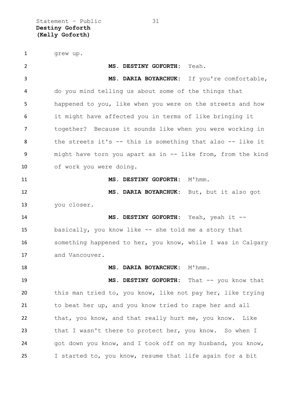Statement – Public 31 **Destiny Goforth (Kelly Goforth)**

1 grew up.

 **MS. DESTINY GOFORTH:** Yeah. **MS. DARIA BOYARCHUK:** If you're comfortable, do you mind telling us about some of the things that happened to you, like when you were on the streets and how it might have affected you in terms of like bringing it together? Because it sounds like when you were working in the streets it's -- this is something that also -- like it might have torn you apart as in -- like from, from the kind of work you were doing. **MS. DESTINY GOFORTH:** M'hmm. **MS. DARIA BOYARCHUK:** But, but it also got you closer. **MS. DESTINY GOFORTH:** Yeah, yeah it -- basically, you know like -- she told me a story that something happened to her, you know, while I was in Calgary and Vancouver. **MS. DARIA BOYARCHUK:** M'hmm. 19 MS. DESTINY GOFORTH: That -- you know that this man tried to, you know, like not pay her, like trying to beat her up, and you know tried to rape her and all that, you know, and that really hurt me, you know. Like 23 that I wasn't there to protect her, you know. So when I 24 got down you know, and I took off on my husband, you know, I started to, you know, resume that life again for a bit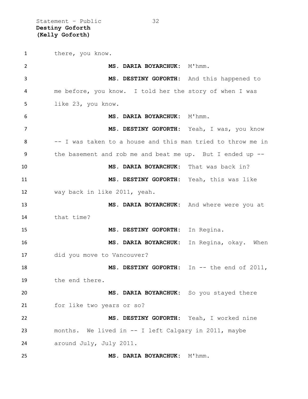Statement – Public 32 **Destiny Goforth (Kelly Goforth)**

1 there, you know. **MS. DARIA BOYARCHUK:** M'hmm. **MS. DESTINY GOFORTH:** And this happened to me before, you know. I told her the story of when I was like 23, you know. **MS. DARIA BOYARCHUK:** M'hmm. **MS. DESTINY GOFORTH:** Yeah, I was, you know -- I was taken to a house and this man tried to throw me in the basement and rob me and beat me up. But I ended up -- **MS. DARIA BOYARCHUK:** That was back in? **MS. DESTINY GOFORTH:** Yeah, this was like way back in like 2011, yeah. **MS. DARIA BOYARCHUK:** And where were you at that time? **MS. DESTINY GOFORTH:** In Regina. **MS. DARIA BOYARCHUK:** In Regina, okay. When did you move to Vancouver? **MS. DESTINY GOFORTH:** In -- the end of 2011, the end there. **MS. DARIA BOYARCHUK:** So you stayed there for like two years or so? **MS. DESTINY GOFORTH:** Yeah, I worked nine months. We lived in -- I left Calgary in 2011, maybe around July, July 2011. 25 MS. DARIA BOYARCHUK: M'hmm.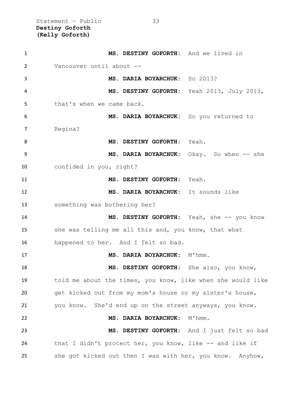Statement – Public 33 **Destiny Goforth (Kelly Goforth)**

 **MS. DESTINY GOFORTH:** And we lived in Vancouver until about -- **MS. DARIA BOYARCHUK:** So 2013? **MS. DESTINY GOFORTH:** Yeah 2013, July 2013, 5 that's when we came back. **MS. DARIA BOYARCHUK:** So you returned to Regina? **MS. DESTINY GOFORTH:** Yeah. **MS. DARIA BOYARCHUK:** Okay. So when -- she confided in you, right? **MS. DESTINY GOFORTH:** Yeah. **MS. DARIA BOYARCHUK:** It sounds like something was bothering her? **MS. DESTINY GOFORTH:** Yeah, she -- you know 15 she was telling me all this and, you know, that what happened to her. And I felt so bad. 17 MS. DARIA BOYARCHUK: M'hmm. **MS. DESTINY GOFORTH:** She also, you know, told me about the times, you know, like when she would like get kicked out from my mom's house or my sister's house, you know. She'd end up on the street anyways, you know. **MS. DARIA BOYARCHUK:** M'hmm. **MS. DESTINY GOFORTH:** And I just felt so bad that I didn't protect her, you know, like -- and like if she got kicked out then I was with her, you know. Anyhow,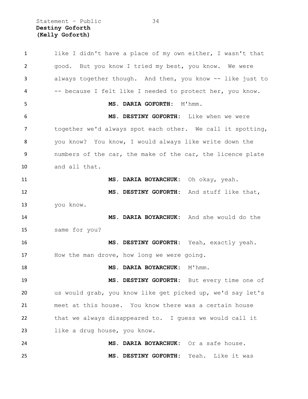Statement – Public 34 **Destiny Goforth (Kelly Goforth)**

 like I didn't have a place of my own either, I wasn't that good. But you know I tried my best, you know. We were always together though. And then, you know -- like just to -- because I felt like I needed to protect her, you know. **MS. DARIA GOFORTH:** M'hmm. **MS. DESTINY GOFORTH:** Like when we were together we'd always spot each other. We call it spotting, you know? You know, I would always like write down the numbers of the car, the make of the car, the licence plate and all that. **MS. DARIA BOYARCHUK:** Oh okay, yeah. **MS. DESTINY GOFORTH:** And stuff like that, you know. **MS. DARIA BOYARCHUK:** And she would do the same for you? **MS. DESTINY GOFORTH:** Yeah, exactly yeah. 17 How the man drove, how long we were going. **MS. DARIA BOYARCHUK:** M'hmm. **MS. DESTINY GOFORTH:** But every time one of us would grab, you know like get picked up, we'd say let's meet at this house. You know there was a certain house that we always disappeared to. I guess we would call it like a drug house, you know. **MS. DARIA BOYARCHUK:** Or a safe house. **MS. DESTINY GOFORTH:** Yeah. Like it was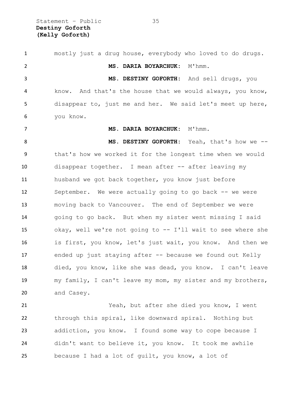Statement – Public 35 **Destiny Goforth (Kelly Goforth)**

 mostly just a drug house, everybody who loved to do drugs. **MS. DARIA BOYARCHUK:** M'hmm. **MS. DESTINY GOFORTH:** And sell drugs, you know. And that's the house that we would always, you know, disappear to, just me and her. We said let's meet up here, you know. **MS. DARIA BOYARCHUK:** M'hmm. **MS. DESTINY GOFORTH:** Yeah, that's how we -- that's how we worked it for the longest time when we would disappear together. I mean after -- after leaving my husband we got back together, you know just before September. We were actually going to go back -- we were moving back to Vancouver. The end of September we were going to go back. But when my sister went missing I said okay, well we're not going to -- I'll wait to see where she is first, you know, let's just wait, you know. And then we ended up just staying after -- because we found out Kelly died, you know, like she was dead, you know. I can't leave my family, I can't leave my mom, my sister and my brothers, and Casey. Yeah, but after she died you know, I went through this spiral, like downward spiral. Nothing but

 addiction, you know. I found some way to cope because I didn't want to believe it, you know. It took me awhile because I had a lot of guilt, you know, a lot of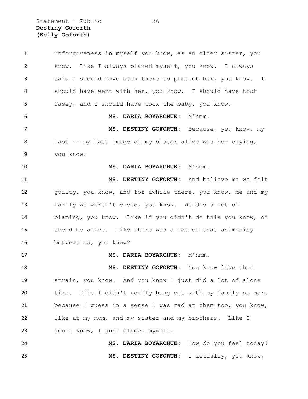Statement – Public 36 **Destiny Goforth (Kelly Goforth)**

 unforgiveness in myself you know, as an older sister, you know. Like I always blamed myself, you know. I always said I should have been there to protect her, you know. I should have went with her, you know. I should have took Casey, and I should have took the baby, you know. **MS. DARIA BOYARCHUK:** M'hmm. **MS. DESTINY GOFORTH:** Because, you know, my last -- my last image of my sister alive was her crying, you know. **MS. DARIA BOYARCHUK:** M'hmm. **MS. DESTINY GOFORTH:** And believe me we felt guilty, you know, and for awhile there, you know, me and my family we weren't close, you know. We did a lot of blaming, you know. Like if you didn't do this you know, or she'd be alive. Like there was a lot of that animosity between us, you know? 17 MS. DARIA BOYARCHUK: M'hmm. **MS. DESTINY GOFORTH:** You know like that strain, you know. And you know I just did a lot of alone time. Like I didn't really hang out with my family no more because I guess in a sense I was mad at them too, you know, like at my mom, and my sister and my brothers. Like I don't know, I just blamed myself. **MS. DARIA BOYARCHUK:** How do you feel today? **MS. DESTINY GOFORTH:** I actually, you know,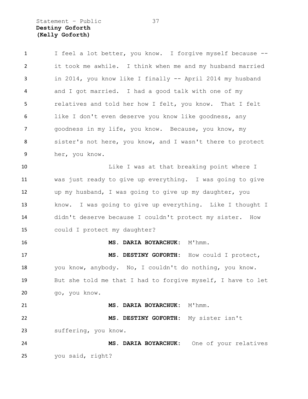Statement – Public 37 **Destiny Goforth (Kelly Goforth)**

| $\mathbf{1}$ | I feel a lot better, you know. I forgive myself because --  |
|--------------|-------------------------------------------------------------|
| 2            | it took me awhile. I think when me and my husband married   |
| 3            | in 2014, you know like I finally -- April 2014 my husband   |
| 4            | and I got married. I had a good talk with one of my         |
| 5            | relatives and told her how I felt, you know. That I felt    |
| 6            | like I don't even deserve you know like goodness, any       |
| 7            | goodness in my life, you know. Because, you know, my        |
| 8            | sister's not here, you know, and I wasn't there to protect  |
| 9            | her, you know.                                              |
| 10           | Like I was at that breaking point where I                   |
| 11           | was just ready to give up everything. I was going to give   |
| 12           | up my husband, I was going to give up my daughter, you      |
| 13           | know. I was going to give up everything. Like I thought I   |
| 14           | didn't deserve because I couldn't protect my sister. How    |
| 15           | could I protect my daughter?                                |
| 16           | MS. DARIA BOYARCHUK: M'hmm.                                 |
| 17           | MS. DESTINY GOFORTH: How could I protect,                   |
| 18           | you know, anybody. No, I couldn't do nothing, you know.     |
| 19           | But she told me that I had to forgive myself, I have to let |
| 20           | go, you know.                                               |
| 21           | MS. DARIA BOYARCHUK:<br>M'hmm.                              |
| 22           | MS. DESTINY GOFORTH:<br>My sister isn't                     |
| 23           | suffering, you know.                                        |
| 24           | MS. DARIA BOYARCHUK: One of your relatives                  |
| 25           | you said, right?                                            |
|              |                                                             |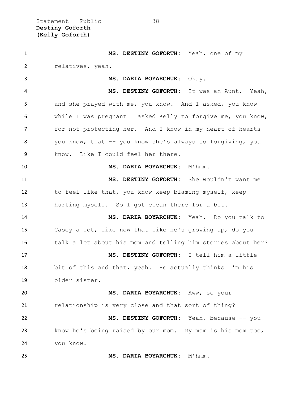| $\mathbf{1}$   | MS. DESTINY GOFORTH: Yeah, one of my                        |
|----------------|-------------------------------------------------------------|
| $\overline{2}$ | relatives, yeah.                                            |
| 3              | MS. DARIA BOYARCHUK: Okay.                                  |
| 4              | MS. DESTINY GOFORTH: It was an Aunt. Yeah,                  |
| 5              | and she prayed with me, you know. And I asked, you know --  |
| 6              | while I was pregnant I asked Kelly to forgive me, you know, |
| $\overline{7}$ | for not protecting her. And I know in my heart of hearts    |
| 8              | you know, that -- you know she's always so forgiving, you   |
| 9              | Like I could feel her there.<br>know.                       |
| 10             | MS. DARIA BOYARCHUK: M'hmm.                                 |
| 11             | MS. DESTINY GOFORTH: She wouldn't want me                   |
| 12             | to feel like that, you know keep blaming myself, keep       |
| 13             | hurting myself. So I got clean there for a bit.             |
| 14             | MS. DARIA BOYARCHUK: Yeah. Do you talk to                   |
| 15             | Casey a lot, like now that like he's growing up, do you     |
| 16             | talk a lot about his mom and telling him stories about her? |
| 17             | MS. DESTINY GOFORTH: I tell him a little                    |
| 18             | bit of this and that, yeah. He actually thinks I'm his      |
| 19             | older sister.                                               |
| 20             | MS. DARIA BOYARCHUK: Aww, so your                           |
| 21             | relationship is very close and that sort of thing?          |
| 22             | MS. DESTINY GOFORTH: Yeah, because -- you                   |
| 23             | know he's being raised by our mom. My mom is his mom too,   |
| 24             | you know.                                                   |
| 25             | MS. DARIA BOYARCHUK: M'hmm.                                 |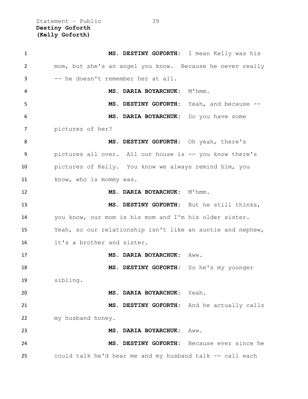Statement – Public 39 **Destiny Goforth (Kelly Goforth)**

| $\mathbf{1}$ | MS. DESTINY GOFORTH: I mean Kelly was his                  |                       |
|--------------|------------------------------------------------------------|-----------------------|
| 2            | mom, but she's an angel you know. Because he never really  |                       |
| 3            | -- he doesn't remember her at all.                         |                       |
| 4            | MS. DARIA BOYARCHUK: M'hmm.                                |                       |
| 5            | MS. DESTINY GOFORTH: Yeah, and because --                  |                       |
| 6            | MS. DARIA BOYARCHUK: Do you have some                      |                       |
| 7            | pictures of her?                                           |                       |
| 8            | MS. DESTINY GOFORTH: Oh yeah, there's                      |                       |
| 9            | pictures all over. All our house is -- you know there's    |                       |
| 10           | pictures of Kelly. You know we always remind him, you      |                       |
| 11           | know, who is mommy was.                                    |                       |
| 12           | MS. DARIA BOYARCHUK: M'hmm.                                |                       |
| 13           | MS. DESTINY GOFORTH: But he still thinks,                  |                       |
| 14           | you know, our mom is his mom and I'm his older sister.     |                       |
| 15           | Yeah, so our relationship isn't like an auntie and nephew, |                       |
| 16           | it's a brother and sister.                                 |                       |
| 17           | MS. DARIA BOYARCHUK:                                       | Aww.                  |
| 18           | MS. DESTINY GOFORTH: So he's my younger                    |                       |
| 19           | sibling.                                                   |                       |
| 20           | MS. DARIA BOYARCHUK: Yeah.                                 |                       |
| 21           | MS. DESTINY GOFORTH:                                       | And he actually calls |
| 22           | my husband honey.                                          |                       |
| 23           | MS. DARIA BOYARCHUK:                                       | Aww.                  |
| 24           | MS. DESTINY GOFORTH:                                       | Because ever since he |
| 25           | could talk he'd hear me and my husband talk -- call each   |                       |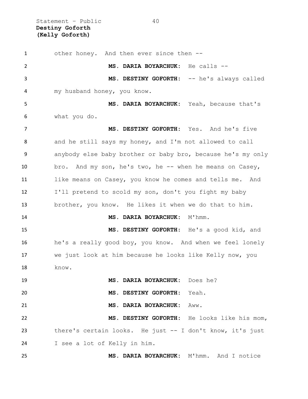Statement – Public 40 **Destiny Goforth (Kelly Goforth)**

 other honey. And then ever since then -- **MS. DARIA BOYARCHUK:** He calls -- **MS. DESTINY GOFORTH:** -- he's always called my husband honey, you know. **MS. DARIA BOYARCHUK:** Yeah, because that's what you do. **MS. DESTINY GOFORTH:** Yes. And he's five and he still says my honey, and I'm not allowed to call anybody else baby brother or baby bro, because he's my only bro. And my son, he's two, he -- when he means on Casey, like means on Casey, you know he comes and tells me. And I'll pretend to scold my son, don't you fight my baby brother, you know. He likes it when we do that to him. **MS. DARIA BOYARCHUK:** M'hmm. **MS. DESTINY GOFORTH**: He's a good kid, and he's a really good boy, you know. And when we feel lonely we just look at him because he looks like Kelly now, you 18 know. **MS. DARIA BOYARCHUK:** Does he? **MS. DESTINY GOFORTH:** Yeah. **MS. DARIA BOYARCHUK:** Aww. **MS. DESTINY GOFORTH:** He looks like his mom, there's certain looks. He just -- I don't know, it's just I see a lot of Kelly in him. **MS. DARIA BOYARCHUK:** M'hmm. And I notice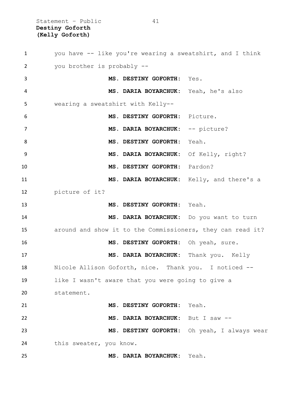Statement - Public 41 **Destiny Goforth (Kelly Goforth)**

 you have -- like you're wearing a sweatshirt, and I think you brother is probably -- **MS. DESTINY GOFORTH:** Yes. **MS. DARIA BOYARCHUK:** Yeah, he's also wearing a sweatshirt with Kelly-- **MS. DESTINY GOFORTH:** Picture. 7 MS. DARIA BOYARCHUK: -- picture? **MS. DESTINY GOFORTH:** Yeah. **MS. DARIA BOYARCHUK:** Of Kelly, right? **MS. DESTINY GOFORTH:** Pardon? **MS. DARIA BOYARCHUK:** Kelly, and there's a picture of it? **MS. DESTINY GOFORTH:** Yeah. **MS. DARIA BOYARCHUK:** Do you want to turn around and show it to the Commissioners, they can read it? **MS. DESTINY GOFORTH:** Oh yeah, sure. **MS. DARIA BOYARCHUK:** Thank you. Kelly Nicole Allison Goforth, nice. Thank you. I noticed -- like I wasn't aware that you were going to give a statement. **MS. DESTINY GOFORTH:** Yeah. **MS. DARIA BOYARCHUK:** But I saw -- **MS. DESTINY GOFORTH:** Oh yeah, I always wear this sweater, you know. **MS. DARIA BOYARCHUK:** Yeah.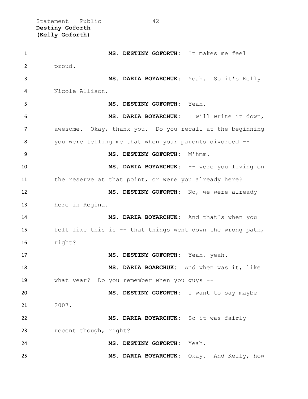Statement - Public 42 **Destiny Goforth (Kelly Goforth)**

 **MS. DESTINY GOFORTH:** It makes me feel proud. **MS. DARIA BOYARCHUK:** Yeah. So it's Kelly Nicole Allison. **MS. DESTINY GOFORTH:** Yeah. **MS. DARIA BOYARCHUK:** I will write it down, awesome. Okay, thank you. Do you recall at the beginning you were telling me that when your parents divorced -- 9 MS. DESTINY GOFORTH: M'hmm. **MS. DARIA BOYARCHUK:** -- were you living on the reserve at that point, or were you already here? **MS. DESTINY GOFORTH:** No, we were already here in Regina. **MS. DARIA BOYARCHUK:** And that's when you felt like this is -- that things went down the wrong path, right? **MS. DESTINY GOFORTH:** Yeah, yeah. **MS. DARIA BOARCHUK:** And when was it, like what year? Do you remember when you guys -- **MS. DESTINY GOFORTH:** I want to say maybe 2007. **MS. DARIA BOYARCHUK:** So it was fairly recent though, right? **MS. DESTINY GOFORTH:** Yeah. **MS. DARIA BOYARCHUK:** Okay. And Kelly, how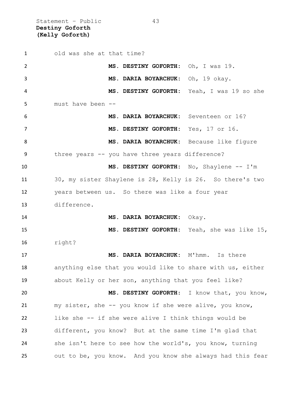Statement – Public 43 **Destiny Goforth (Kelly Goforth)**

 old was she at that time? **MS. DESTINY GOFORTH:** Oh, I was 19. **MS. DARIA BOYARCHUK:** Oh, 19 okay. **MS. DESTINY GOFORTH:** Yeah, I was 19 so she must have been -- **MS. DARIA BOYARCHUK:** Seventeen or 16? **MS. DESTINY GOFORTH:** Yes, 17 or 16. **MS. DARIA BOYARCHUK:** Because like figure three years -- you have three years difference? **MS. DESTINY GOFORTH:** No, Shaylene -- I'm 30, my sister Shaylene is 28, Kelly is 26. So there's two years between us. So there was like a four year difference. **MS. DARIA BOYARCHUK:** Okay. **MS. DESTINY GOFORTH:** Yeah, she was like 15, right? **MS. DARIA BOYARCHUK:** M'hmm. Is there anything else that you would like to share with us, either about Kelly or her son, anything that you feel like? **MS. DESTINY GOFORTH**: I know that, you know, my sister, she -- you know if she were alive, you know, like she -- if she were alive I think things would be different, you know? But at the same time I'm glad that she isn't here to see how the world's, you know, turning out to be, you know. And you know she always had this fear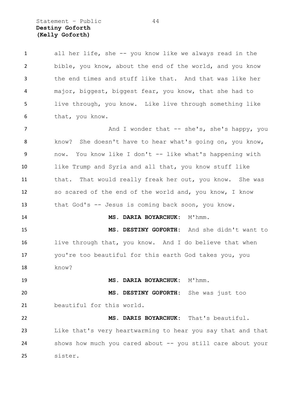Statement – Public 44 **Destiny Goforth (Kelly Goforth)**

 all her life, she -- you know like we always read in the bible, you know, about the end of the world, and you know the end times and stuff like that. And that was like her major, biggest, biggest fear, you know, that she had to live through, you know. Like live through something like that, you know. 7 And I wonder that -- she's, she's happy, you know? She doesn't have to hear what's going on, you know, now. You know like I don't -- like what's happening with like Trump and Syria and all that, you know stuff like that. That would really freak her out, you know. She was so scared of the end of the world and, you know, I know that God's -- Jesus is coming back soon, you know. 14 MS. DARIA BOYARCHUK: M'hmm. **MS. DESTINY GOFORTH:** And she didn't want to live through that, you know. And I do believe that when you're too beautiful for this earth God takes you, you know? 19 MS. DARIA BOYARCHUK: M'hmm. **MS. DESTINY GOFORTH:** She was just too beautiful for this world. **MS. DARIS BOYARCHUK:** That's beautiful. Like that's very heartwarming to hear you say that and that

 shows how much you cared about -- you still care about your sister.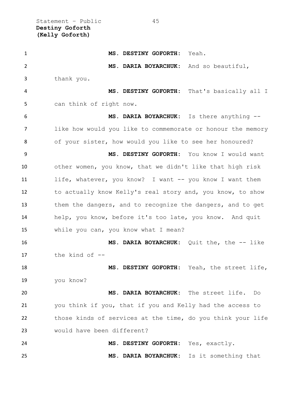Statement – Public 45 **Destiny Goforth (Kelly Goforth)**

 **MS. DESTINY GOFORTH:** Yeah. **MS. DARIA BOYARCHUK:** And so beautiful, thank you. **MS. DESTINY GOFORTH:** That's basically all I can think of right now. **MS. DARIA BOYARCHUK:** Is there anything -- like how would you like to commemorate or honour the memory of your sister, how would you like to see her honoured? **MS. DESTINY GOFORTH:** You know I would want other women, you know, that we didn't like that high risk life, whatever, you know? I want -- you know I want them to actually know Kelly's real story and, you know, to show 13 them the dangers, and to recognize the dangers, and to get help, you know, before it's too late, you know. And quit while you can, you know what I mean? **MS. DARIA BOYARCHUK:** Quit the, the -- like the kind of -- **MS. DESTINY GOFORTH:** Yeah, the street life, you know? **MS. DARIA BOYARCHUK:** The street life. Do you think if you, that if you and Kelly had the access to those kinds of services at the time, do you think your life would have been different? **MS. DESTINY GOFORTH:** Yes, exactly. **MS. DARIA BOYARCHUK:** Is it something that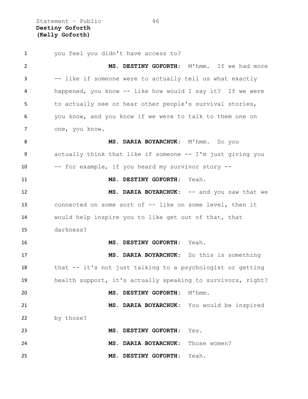Statement - Public 46 **Destiny Goforth (Kelly Goforth)**

 you feel you didn't have access to? **MS. DESTINY GOFORTH:** M'hmm. If we had more -- like if someone were to actually tell us what exactly happened, you know -- like how would I say it? If we were to actually see or hear other people's survival stories, you know, and you know if we were to talk to them one on one, you know. **MS. DARIA BOYARCHUK:** M'hmm. So you actually think that like if someone -- I'm just giving you -- for example, if you heard my survivor story -- **MS. DESTINY GOFORTH:** Yeah. 12 MS. DARIA BOYARCHUK: -- and you saw that we connected on some sort of -- like on some level, then it would help inspire you to like get out of that, that darkness? **MS. DESTINY GOFORTH:** Yeah. **MS. DARIA BOYARCHUK:** So this is something that -- it's not just talking to a psychologist or getting health support, it's actually speaking to survivors, right? **MS. DESTINY GOFORTH:** M'hmm. **MS. DARIA BOYARCHUK:** You would be inspired 22 by those? **MS. DESTINY GOFORTH:** Yes. **MS. DARIA BOYARCHUK:** Those women? **MS. DESTINY GOFORTH:** Yeah.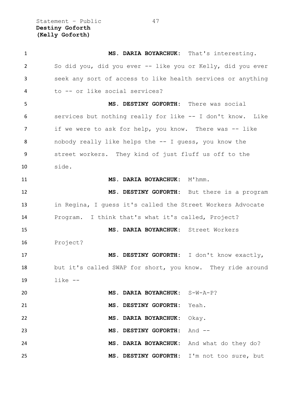Statement – Public 47 **Destiny Goforth (Kelly Goforth)**

| $\mathbf{1}$ | MS. DARIA BOYARCHUK: That's interesting.                    |
|--------------|-------------------------------------------------------------|
| 2            | So did you, did you ever -- like you or Kelly, did you ever |
| 3            | seek any sort of access to like health services or anything |
| 4            | to -- or like social services?                              |
| 5            | MS. DESTINY GOFORTH: There was social                       |
| 6            | services but nothing really for like -- I don't know. Like  |
| 7            | if we were to ask for help, you know. There was -- like     |
| 8            | nobody really like helps the -- I quess, you know the       |
| 9            | street workers. They kind of just fluff us off to the       |
| 10           | side.                                                       |
| 11           | MS. DARIA BOYARCHUK: M'hmm.                                 |
| 12           | MS. DESTINY GOFORTH: But there is a program                 |
| 13           | in Regina, I guess it's called the Street Workers Advocate  |
| 14           | Program. I think that's what it's called, Project?          |
| 15           | MS. DARIA BOYARCHUK: Street Workers                         |
| 16           | Project?                                                    |
| 17           | MS. DESTINY GOFORTH: I don't know exactly,                  |
| 18           | but it's called SWAP for short, you know. They ride around  |
| 19           | $like$ $-$                                                  |
| 20           | MS. DARIA BOYARCHUK: S-W-A-P?                               |
| 21           | Yeah.<br>MS. DESTINY GOFORTH:                               |
| 22           | Okay.<br>MS. DARIA BOYARCHUK:                               |
| 23           | MS. DESTINY GOFORTH:<br>And $--$                            |
| 24           | And what do they do?<br>MS. DARIA BOYARCHUK:                |
| 25           | MS. DESTINY GOFORTH:<br>I'm not too sure, but               |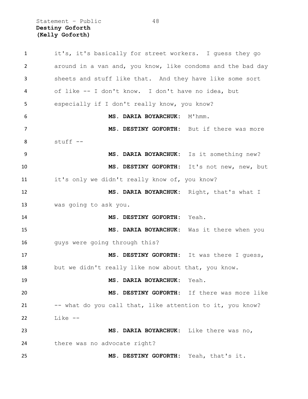Statement – Public 48 **Destiny Goforth (Kelly Goforth)**

| $\mathbf{1}$ | it's, it's basically for street workers. I quess they go    |
|--------------|-------------------------------------------------------------|
| 2            | around in a van and, you know, like condoms and the bad day |
| 3            | sheets and stuff like that. And they have like some sort    |
| 4            | of like -- I don't know. I don't have no idea, but          |
| 5            | especially if I don't really know, you know?                |
| 6            | M'hmm.<br>MS. DARIA BOYARCHUK:                              |
| 7            | MS. DESTINY GOFORTH: But if there was more                  |
| 8            | stuff --                                                    |
| 9            | MS. DARIA BOYARCHUK: Is it something new?                   |
| 10           | MS. DESTINY GOFORTH: It's not new, new, but                 |
| 11           | it's only we didn't really know of, you know?               |
| 12           | MS. DARIA BOYARCHUK: Right, that's what I                   |
| 13           | was going to ask you.                                       |
| 14           | MS. DESTINY GOFORTH: Yeah.                                  |
| 15           | MS. DARIA BOYARCHUK: Was it there when you                  |
| 16           | guys were going through this?                               |
| 17           | MS. DESTINY GOFORTH: It was there I quess,                  |
| 18           | but we didn't really like now about that, you know.         |
| 19           | MS. DARIA BOYARCHUK: Yeah.                                  |
| 20           | MS. DESTINY GOFORTH: If there was more like                 |
| 21           | -- what do you call that, like attention to it, you know?   |
| 22           | Like --                                                     |
| 23           | MS. DARIA BOYARCHUK: Like there was no,                     |
| 24           | there was no advocate right?                                |
| 25           | MS. DESTINY GOFORTH: Yeah, that's it.                       |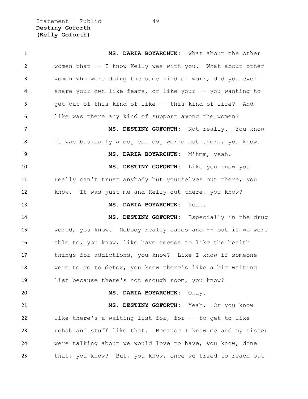Statement – Public 49 **Destiny Goforth (Kelly Goforth)**

 **MS. DARIA BOYARCHUK:** What about the other women that -- I know Kelly was with you. What about other women who were doing the same kind of work, did you ever share your own like fears, or like your -- you wanting to get out of this kind of like -- this kind of life? And like was there any kind of support among the women? **MS. DESTINY GOFORTH:** Not really. You know it was basically a dog eat dog world out there, you know. **MS. DARIA BOYARCHUK:** M'hmm, yeah. **MS. DESTINY GOFORTH:** Like you know you really can't trust anybody but yourselves out there, you know. It was just me and Kelly out there, you know? **MS. DARIA BOYARCHUK:** Yeah. **MS. DESTINY GOFORTH:** Especially in the drug world, you know. Nobody really cares and -- but if we were able to, you know, like have access to like the health things for addictions, you know? Like I know if someone were to go to detox, you know there's like a big waiting list because there's not enough room, you know? **MS. DARIA BOYARCHUK:** Okay. **MS. DESTINY GOFORTH:** Yeah. Or you know like there's a waiting list for, for -- to get to like rehab and stuff like that. Because I know me and my sister were talking about we would love to have, you know, done that, you know? But, you know, once we tried to reach out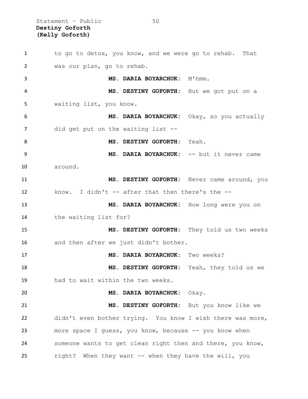Statement – Public 50 **Destiny Goforth (Kelly Goforth)**

1 to go to detox, you know, and we were go to rehab. That was our plan, go to rehab. **MS. DARIA BOYARCHUK:** M'hmm. **MS. DESTINY GOFORTH:** But we got put on a waiting list, you know. **MS. DARIA BOYARCHUK:** Okay, so you actually 7 did get put on the waiting list -- **MS. DESTINY GOFORTH:** Yeah. 9 MS. DARIA BOYARCHUK: -- but it never came around. **MS. DESTINY GOFORTH:** Never came around, you know. I didn't -- after that then there's the -- **MS. DARIA BOYARCHUK:** How long were you on the waiting list for? **MS. DESTINY GOFORTH:** They told us two weeks 16 and then after we just didn't bother. **MS. DARIA BOYARCHUK:** Two weeks? **MS. DESTINY GOFORTH:** Yeah, they told us we had to wait within the two weeks. **MS. DARIA BOYARCHUK:** Okay. **MS. DESTINY GOFORTH:** But you know like we didn't even bother trying. You know I wish there was more, more space I guess, you know, because -- you know when someone wants to get clean right then and there, you know, right? When they want -- when they have the will, you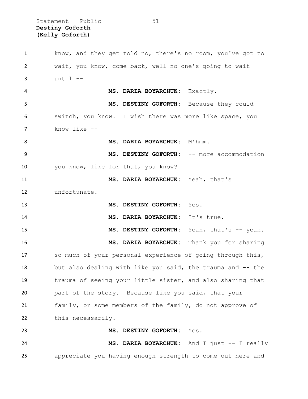Statement – Public 51 **Destiny Goforth (Kelly Goforth)**

 know, and they get told no, there's no room, you've got to wait, you know, come back, well no one's going to wait until  $-$  **MS. DARIA BOYARCHUK:** Exactly. **MS. DESTINY GOFORTH:** Because they could switch, you know. I wish there was more like space, you know like -- 8 MS. DARIA BOYARCHUK: M'hmm. **MS. DESTINY GOFORTH:** -- more accommodation you know, like for that, you know? **MS. DARIA BOYARCHUK:** Yeah, that's unfortunate. **MS. DESTINY GOFORTH:** Yes. **MS. DARIA BOYARCHUK:** It's true. 15 MS. DESTINY GOFORTH: Yeah, that's -- yeah. **MS. DARIA BOYARCHUK:** Thank you for sharing so much of your personal experience of going through this, 18 but also dealing with like you said, the trauma and -- the trauma of seeing your little sister, and also sharing that part of the story. Because like you said, that your family, or some members of the family, do not approve of this necessarily. **MS. DESTINY GOFORTH:** Yes. **MS. DARIA BOYARCHUK:** And I just -- I really appreciate you having enough strength to come out here and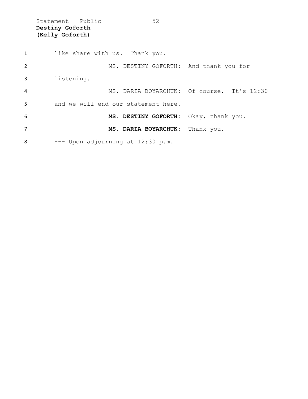Statement - Public 52 **Destiny Goforth (Kelly Goforth)**

1 like share with us. Thank you. MS. DESTINY GOFORTH: And thank you for listening. MS. DARIA BOYARCHUK: Of course. It's 12:30 and we will end our statement here. **MS. DESTINY GOFORTH:** Okay, thank you. **MS. DARIA BOYARCHUK:** Thank you. --- Upon adjourning at 12:30 p.m.